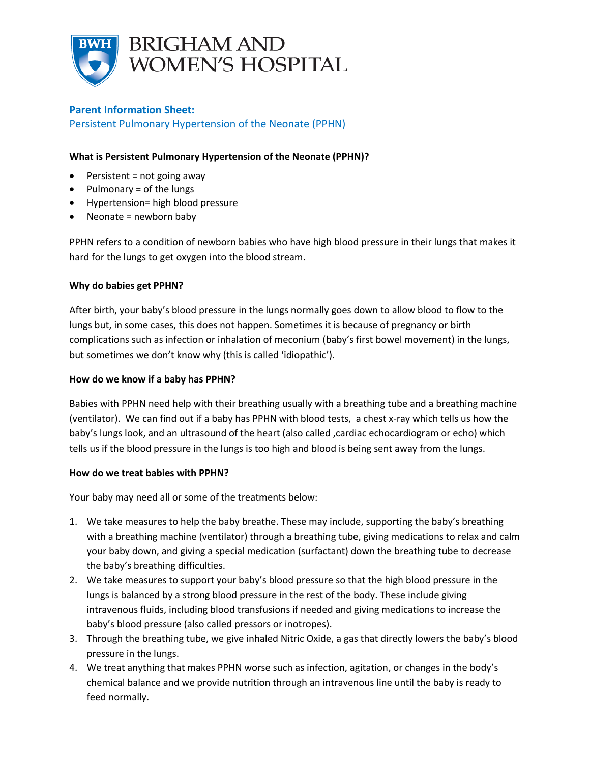

# **Parent Information Sheet:**

Persistent Pulmonary Hypertension of the Neonate (PPHN)

# **What is Persistent Pulmonary Hypertension of the Neonate (PPHN)?**

- $\bullet$  Persistent = not going away
- $\bullet$  Pulmonary = of the lungs
- Hypertension= high blood pressure
- Neonate = newborn baby

PPHN refers to a condition of newborn babies who have high blood pressure in their lungs that makes it hard for the lungs to get oxygen into the blood stream.

# **Why do babies get PPHN?**

After birth, your baby's blood pressure in the lungs normally goes down to allow blood to flow to the lungs but, in some cases, this does not happen. Sometimes it is because of pregnancy or birth complications such as infection or inhalation of meconium (baby's first bowel movement) in the lungs, but sometimes we don't know why (this is called 'idiopathic').

### **How do we know if a baby has PPHN?**

Babies with PPHN need help with their breathing usually with a breathing tube and a breathing machine (ventilator). We can find out if a baby has PPHN with blood tests, a chest x-ray which tells us how the baby's lungs look, and an ultrasound of the heart (also called , cardiac echocardiogram or echo) which tells us if the blood pressure in the lungs is too high and blood is being sent away from the lungs.

#### **How do we treat babies with PPHN?**

Your baby may need all or some of the treatments below:

- 1. We take measures to help the baby breathe. These may include, supporting the baby's breathing with a breathing machine (ventilator) through a breathing tube, giving medications to relax and calm your baby down, and giving a special medication (surfactant) down the breathing tube to decrease the baby's breathing difficulties.
- 2. We take measures to support your baby's blood pressure so that the high blood pressure in the lungs is balanced by a strong blood pressure in the rest of the body. These include giving intravenous fluids, including blood transfusions if needed and giving medications to increase the baby's blood pressure (also called pressors or inotropes).
- 3. Through the breathing tube, we give inhaled Nitric Oxide, a gas that directly lowers the baby's blood pressure in the lungs.
- 4. We treat anything that makes PPHN worse such as infection, agitation, or changes in the body's chemical balance and we provide nutrition through an intravenous line until the baby is ready to feed normally.